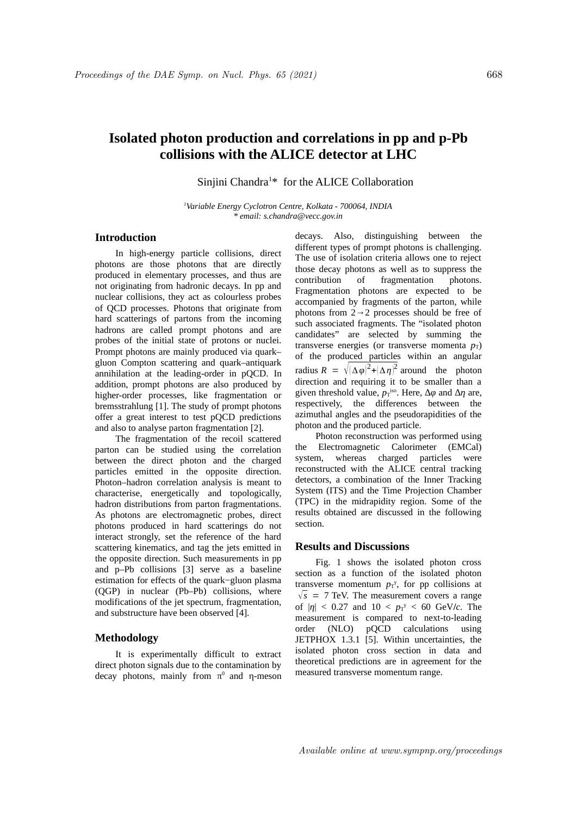# **Isolated photon production and correlations in pp and p-Pb collisions with the ALICE detector at LHC**

Sinjini Chandra<sup>1\*</sup> for the ALICE Collaboration

*<sup>1</sup>Variable Energy Cyclotron Centre, Kolkata - 700064, INDIA \* email: s.chandra@vecc.gov.in*

## **Introduction**

In high-energy particle collisions, direct photons are those photons that are directly produced in elementary processes, and thus are not originating from hadronic decays. In pp and nuclear collisions, they act as colourless probes of QCD processes. Photons that originate from hard scatterings of partons from the incoming hadrons are called prompt photons and are probes of the initial state of protons or nuclei. Prompt photons are mainly produced via quark– gluon Compton scattering and quark–antiquark annihilation at the leading-order in pQCD. In addition, prompt photons are also produced by higher-order processes, like fragmentation or bremsstrahlung [1]. The study of prompt photons offer a great interest to test pQCD predictions and also to analyse parton fragmentation [2].

The fragmentation of the recoil scattered parton can be studied using the correlation between the direct photon and the charged particles emitted in the opposite direction. Photon–hadron correlation analysis is meant to characterise, energetically and topologically, hadron distributions from parton fragmentations. As photons are electromagnetic probes, direct photons produced in hard scatterings do not interact strongly, set the reference of the hard scattering kinematics, and tag the jets emitted in the opposite direction. Such measurements in pp and p–Pb collisions [3] serve as a baseline estimation for effects of the quark−gluon plasma (QGP) in nuclear (Pb–Pb) collisions, where modifications of the jet spectrum, fragmentation, and substructure have been observed [4].

### **Methodology**

It is experimentally difficult to extract direct photon signals due to the contamination by decay photons, mainly from  $\pi^0$  and  $\eta$ -meson

decays. Also, distinguishing between the different types of prompt photons is challenging. The use of isolation criteria allows one to reject those decay photons as well as to suppress the contribution of fragmentation photons. Fragmentation photons are expected to be accompanied by fragments of the parton, while photons from  $2 \rightarrow 2$  processes should be free of such associated fragments. The "isolated photon candidates" are selected by summing the transverse energies (or transverse momenta  $p_T$ ) of the produced particles within an angular radius  $R = \sqrt{(\Delta \varphi)^2 + (\Delta \eta)^2}$  around the photon direction and requiring it to be smaller than a given threshold value,  $p_T$ <sup>iso</sup>. Here, ∆*φ* and ∆*η* are, respectively, the differences between the azimuthal angles and the pseudorapidities of the photon and the produced particle.

Photon reconstruction was performed using the Electromagnetic Calorimeter (EMCal) system, whereas charged particles were reconstructed with the ALICE central tracking detectors, a combination of the Inner Tracking System (ITS) and the Time Projection Chamber (TPC) in the midrapidity region. Some of the results obtained are discussed in the following section.

### **Results and Discussions**

Fig. 1 shows the isolated photon cross section as a function of the isolated photon transverse momentum  $p_T$ <sup>y</sup>, for pp collisions at  $\sqrt{s}$  = 7 TeV. The measurement covers a range of  $|\eta|$  < 0.27 and 10 <  $p_T$ <sup> $\gamma$ </sup> < 60 GeV/*c*. The measurement is compared to next-to-leading order (NLO) pQCD calculations using JETPHOX 1.3.1 [5]. Within uncertainties, the isolated photon cross section in data and theoretical predictions are in agreement for the measured transverse momentum range.